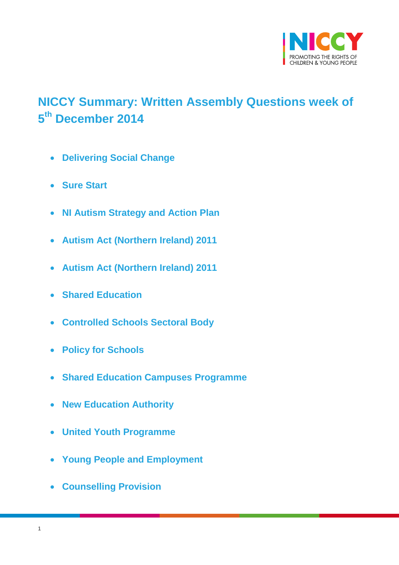

# <span id="page-0-0"></span>**NICCY Summary: Written Assembly Questions week of 5 th December 2014**

- **[Delivering Social Change](#page-2-0)**
- **[Sure Start](#page-3-0)**
- **[NI Autism Strategy and Action Plan](#page-3-1)**
- **[Autism Act \(Northern Ireland\) 2011](#page-4-0)**
- **[Autism Act \(Northern Ireland\) 2011](#page-5-0)**
- **[Shared Education](#page-5-1)**
- **[Controlled Schools Sectoral Body](#page-6-0)**
- **[Policy for Schools](#page-6-1)**
- **[Shared Education Campuses Programme](#page-7-0)**
- **[New Education Authority](#page-8-0)**
- **[United Youth Programme](#page-9-0)**
- **[Young People and Employment](#page-9-1)**
- **[Counselling Provision](#page-11-0)**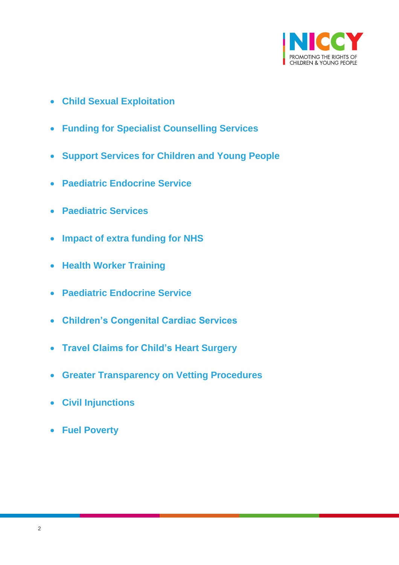

- **[Child Sexual Exploitation](#page-11-1)**
- **[Funding for Specialist Counselling Services](#page-12-0)**
- **[Support Services for Children and Young People](#page-12-1)**
- **[Paediatric Endocrine Service](#page-13-0)**
- **[Paediatric Services](#page-14-0)**
- **[Impact of extra funding for NHS](#page-14-1)**
- **[Health Worker Training](#page-15-0)**
- **[Paediatric Endocrine Service](#page-15-1)**
- **[Children's Congenital Cardiac Services](#page-17-0)**
- **[Travel Claims for Child's Heart Surgery](#page-17-1)**
- **[Greater Transparency on Vetting Procedures](#page-18-0)**
- **[Civil Injunctions](#page-19-0)**
- **[Fuel Poverty](#page-20-0)**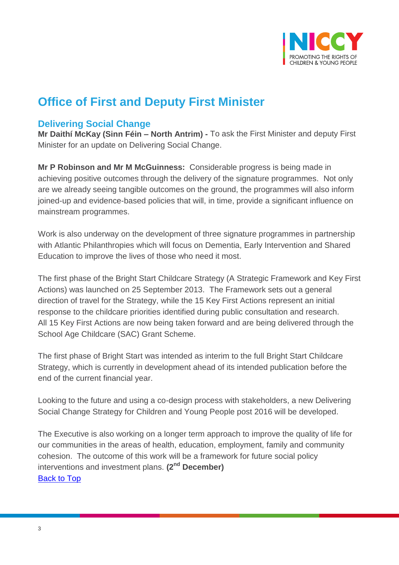

# **Office of First and Deputy First Minister**

## <span id="page-2-0"></span>**Delivering Social Change**

**Mr Daithí McKay (Sinn Féin – North Antrim) -** To ask the First Minister and deputy First Minister for an update on Delivering Social Change.

**Mr P Robinson and Mr M McGuinness:** Considerable progress is being made in achieving positive outcomes through the delivery of the signature programmes. Not only are we already seeing tangible outcomes on the ground, the programmes will also inform joined-up and evidence-based policies that will, in time, provide a significant influence on mainstream programmes.

Work is also underway on the development of three signature programmes in partnership with Atlantic Philanthropies which will focus on Dementia, Early Intervention and Shared Education to improve the lives of those who need it most.

The first phase of the Bright Start Childcare Strategy (A Strategic Framework and Key First Actions) was launched on 25 September 2013. The Framework sets out a general direction of travel for the Strategy, while the 15 Key First Actions represent an initial response to the childcare priorities identified during public consultation and research. All 15 Key First Actions are now being taken forward and are being delivered through the School Age Childcare (SAC) Grant Scheme.

The first phase of Bright Start was intended as interim to the full Bright Start Childcare Strategy, which is currently in development ahead of its intended publication before the end of the current financial year.

Looking to the future and using a co-design process with stakeholders, a new Delivering Social Change Strategy for Children and Young People post 2016 will be developed.

The Executive is also working on a longer term approach to improve the quality of life for our communities in the areas of health, education, employment, family and community cohesion. The outcome of this work will be a framework for future social policy interventions and investment plans. **(2nd December)** [Back to Top](#page-0-0)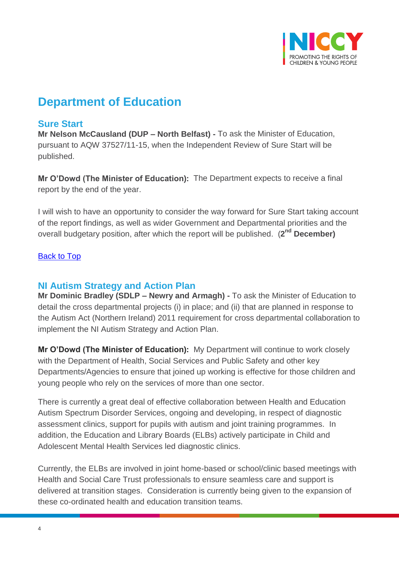

# **Department of Education**

## <span id="page-3-0"></span>**Sure Start**

**Mr Nelson McCausland (DUP – North Belfast) -** To ask the Minister of Education, pursuant to AQW 37527/11-15, when the Independent Review of Sure Start will be published.

**Mr O'Dowd (The Minister of Education):** The Department expects to receive a final report by the end of the year.

I will wish to have an opportunity to consider the way forward for Sure Start taking account of the report findings, as well as wider Government and Departmental priorities and the overall budgetary position, after which the report will be published. (**2 nd December)**

#### [Back to Top](#page-0-0)

### <span id="page-3-1"></span>**NI Autism Strategy and Action Plan**

**Mr Dominic Bradley (SDLP – Newry and Armagh) -** To ask the Minister of Education to detail the cross departmental projects (i) in place; and (ii) that are planned in response to the Autism Act (Northern Ireland) 2011 requirement for cross departmental collaboration to implement the NI Autism Strategy and Action Plan.

**Mr O'Dowd (The Minister of Education):** My Department will continue to work closely with the Department of Health, Social Services and Public Safety and other key Departments/Agencies to ensure that joined up working is effective for those children and young people who rely on the services of more than one sector.

There is currently a great deal of effective collaboration between Health and Education Autism Spectrum Disorder Services, ongoing and developing, in respect of diagnostic assessment clinics, support for pupils with autism and joint training programmes. In addition, the Education and Library Boards (ELBs) actively participate in Child and Adolescent Mental Health Services led diagnostic clinics.

Currently, the ELBs are involved in joint home-based or school/clinic based meetings with Health and Social Care Trust professionals to ensure seamless care and support is delivered at transition stages. Consideration is currently being given to the expansion of these co-ordinated health and education transition teams.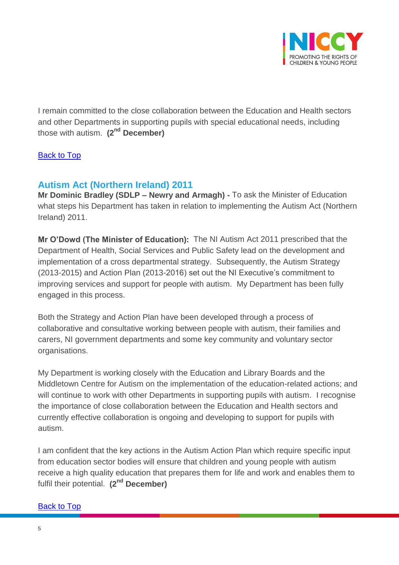

I remain committed to the close collaboration between the Education and Health sectors and other Departments in supporting pupils with special educational needs, including those with autism. **(2nd December)**

#### [Back to Top](#page-0-0)

## <span id="page-4-0"></span>**Autism Act (Northern Ireland) 2011**

**Mr Dominic Bradley (SDLP – Newry and Armagh) -** To ask the Minister of Education what steps his Department has taken in relation to implementing the Autism Act (Northern Ireland) 2011.

**Mr O'Dowd (The Minister of Education):** The NI Autism Act 2011 prescribed that the Department of Health, Social Services and Public Safety lead on the development and implementation of a cross departmental strategy. Subsequently, the Autism Strategy (2013-2015) and Action Plan (2013-2016) set out the NI Executive's commitment to improving services and support for people with autism. My Department has been fully engaged in this process.

Both the Strategy and Action Plan have been developed through a process of collaborative and consultative working between people with autism, their families and carers, NI government departments and some key community and voluntary sector organisations.

My Department is working closely with the Education and Library Boards and the Middletown Centre for Autism on the implementation of the education-related actions; and will continue to work with other Departments in supporting pupils with autism. I recognise the importance of close collaboration between the Education and Health sectors and currently effective collaboration is ongoing and developing to support for pupils with autism.

I am confident that the key actions in the Autism Action Plan which require specific input from education sector bodies will ensure that children and young people with autism receive a high quality education that prepares them for life and work and enables them to fulfil their potential. **(2nd December)**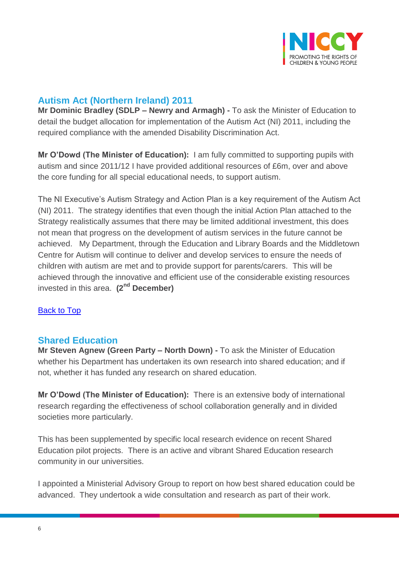

## <span id="page-5-0"></span>**Autism Act (Northern Ireland) 2011**

**Mr Dominic Bradley (SDLP – Newry and Armagh) -** To ask the Minister of Education to detail the budget allocation for implementation of the Autism Act (NI) 2011, including the required compliance with the amended Disability Discrimination Act.

**Mr O'Dowd (The Minister of Education):** I am fully committed to supporting pupils with autism and since 2011/12 I have provided additional resources of £6m, over and above the core funding for all special educational needs, to support autism.

The NI Executive's Autism Strategy and Action Plan is a key requirement of the Autism Act (NI) 2011. The strategy identifies that even though the initial Action Plan attached to the Strategy realistically assumes that there may be limited additional investment, this does not mean that progress on the development of autism services in the future cannot be achieved. My Department, through the Education and Library Boards and the Middletown Centre for Autism will continue to deliver and develop services to ensure the needs of children with autism are met and to provide support for parents/carers. This will be achieved through the innovative and efficient use of the considerable existing resources invested in this area. **(2nd December)**

#### [Back to Top](#page-0-0)

### <span id="page-5-1"></span>**Shared Education**

**Mr Steven Agnew (Green Party – North Down) -** To ask the Minister of Education whether his Department has undertaken its own research into shared education; and if not, whether it has funded any research on shared education.

**Mr O'Dowd (The Minister of Education):** There is an extensive body of international research regarding the effectiveness of school collaboration generally and in divided societies more particularly.

This has been supplemented by specific local research evidence on recent Shared Education pilot projects. There is an active and vibrant Shared Education research community in our universities.

I appointed a Ministerial Advisory Group to report on how best shared education could be advanced. They undertook a wide consultation and research as part of their work.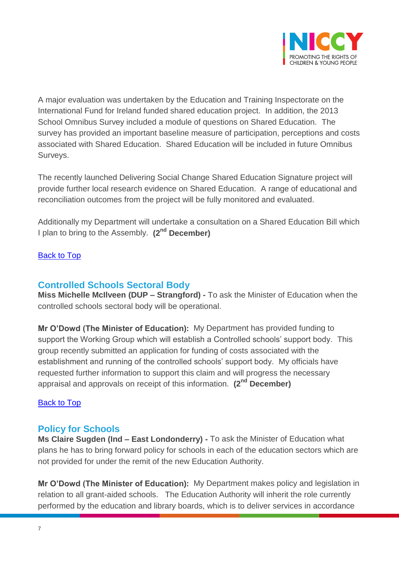

A major evaluation was undertaken by the Education and Training Inspectorate on the International Fund for Ireland funded shared education project. In addition, the 2013 School Omnibus Survey included a module of questions on Shared Education. The survey has provided an important baseline measure of participation, perceptions and costs associated with Shared Education. Shared Education will be included in future Omnibus Surveys.

The recently launched Delivering Social Change Shared Education Signature project will provide further local research evidence on Shared Education. A range of educational and reconciliation outcomes from the project will be fully monitored and evaluated.

Additionally my Department will undertake a consultation on a Shared Education Bill which I plan to bring to the Assembly. **(2nd December)**

#### [Back to Top](#page-0-0)

## <span id="page-6-0"></span>**Controlled Schools Sectoral Body**

**Miss Michelle McIlveen (DUP – Strangford) -** To ask the Minister of Education when the controlled schools sectoral body will be operational.

**Mr O'Dowd (The Minister of Education):** My Department has provided funding to support the Working Group which will establish a Controlled schools' support body. This group recently submitted an application for funding of costs associated with the establishment and running of the controlled schools' support body. My officials have requested further information to support this claim and will progress the necessary appraisal and approvals on receipt of this information. **(2nd December)**

#### [Back to Top](#page-0-0)

### <span id="page-6-1"></span>**Policy for Schools**

**Ms Claire Sugden (Ind – East Londonderry) -** To ask the Minister of Education what plans he has to bring forward policy for schools in each of the education sectors which are not provided for under the remit of the new Education Authority.

**Mr O'Dowd (The Minister of Education):** My Department makes policy and legislation in relation to all grant-aided schools. The Education Authority will inherit the role currently performed by the education and library boards, which is to deliver services in accordance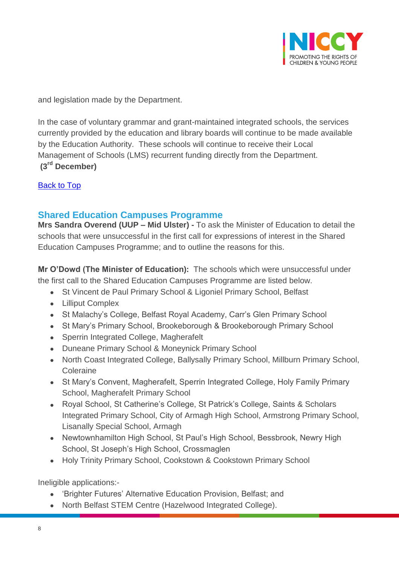

and legislation made by the Department.

In the case of voluntary grammar and grant-maintained integrated schools, the services currently provided by the education and library boards will continue to be made available by the Education Authority. These schools will continue to receive their Local Management of Schools (LMS) recurrent funding directly from the Department. **(3rd December)**

[Back to Top](#page-0-0)

## <span id="page-7-0"></span>**Shared Education Campuses Programme**

**Mrs Sandra Overend (UUP – Mid Ulster) -** To ask the Minister of Education to detail the schools that were unsuccessful in the first call for expressions of interest in the Shared Education Campuses Programme; and to outline the reasons for this.

**Mr O'Dowd (The Minister of Education):** The schools which were unsuccessful under the first call to the Shared Education Campuses Programme are listed below.

- St Vincent de Paul Primary School & Ligoniel Primary School, Belfast
- Lilliput Complex
- St Malachy's College, Belfast Royal Academy, Carr's Glen Primary School
- St Mary's Primary School, Brookeborough & Brookeborough Primary School
- Sperrin Integrated College, Magherafelt
- Duneane Primary School & Moneynick Primary School
- North Coast Integrated College, Ballysally Primary School, Millburn Primary School, Coleraine
- St Mary's Convent, Magherafelt, Sperrin Integrated College, Holy Family Primary School, Magherafelt Primary School
- Royal School, St Catherine's College, St Patrick's College, Saints & Scholars Integrated Primary School, City of Armagh High School, Armstrong Primary School, Lisanally Special School, Armagh
- Newtownhamilton High School, St Paul's High School, Bessbrook, Newry High School, St Joseph's High School, Crossmaglen
- Holy Trinity Primary School, Cookstown & Cookstown Primary School

Ineligible applications:-

- 'Brighter Futures' Alternative Education Provision, Belfast; and
- North Belfast STEM Centre (Hazelwood Integrated College).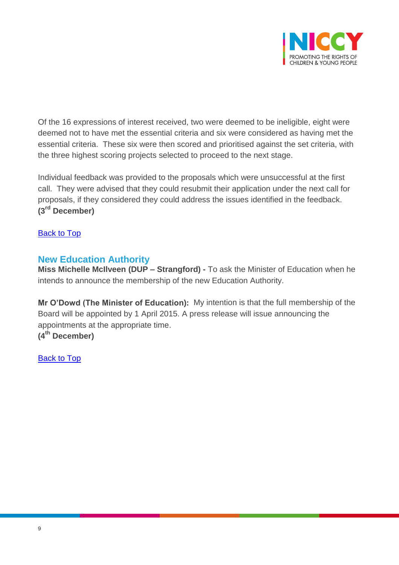

Of the 16 expressions of interest received, two were deemed to be ineligible, eight were deemed not to have met the essential criteria and six were considered as having met the essential criteria. These six were then scored and prioritised against the set criteria, with the three highest scoring projects selected to proceed to the next stage.

Individual feedback was provided to the proposals which were unsuccessful at the first call. They were advised that they could resubmit their application under the next call for proposals, if they considered they could address the issues identified in the feedback. **(3rd December)**

[Back to Top](#page-0-0)

## <span id="page-8-0"></span>**New Education Authority**

**Miss Michelle McIlveen (DUP – Strangford) -** To ask the Minister of Education when he intends to announce the membership of the new Education Authority.

**Mr O'Dowd (The Minister of Education):** My intention is that the full membership of the Board will be appointed by 1 April 2015. A press release will issue announcing the appointments at the appropriate time. **(4th December)**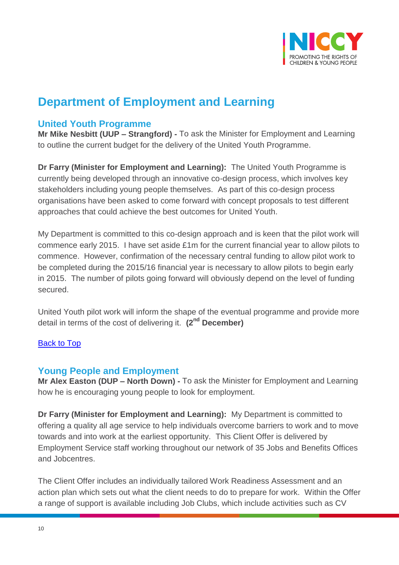

# **Department of Employment and Learning**

## <span id="page-9-0"></span>**United Youth Programme**

**Mr Mike Nesbitt (UUP – Strangford) -** To ask the Minister for Employment and Learning to outline the current budget for the delivery of the United Youth Programme.

**Dr Farry (Minister for Employment and Learning):** The United Youth Programme is currently being developed through an innovative co-design process, which involves key stakeholders including young people themselves. As part of this co-design process organisations have been asked to come forward with concept proposals to test different approaches that could achieve the best outcomes for United Youth.

My Department is committed to this co-design approach and is keen that the pilot work will commence early 2015. I have set aside £1m for the current financial year to allow pilots to commence. However, confirmation of the necessary central funding to allow pilot work to be completed during the 2015/16 financial year is necessary to allow pilots to begin early in 2015. The number of pilots going forward will obviously depend on the level of funding secured.

United Youth pilot work will inform the shape of the eventual programme and provide more detail in terms of the cost of delivering it. **(2 nd December)**

#### [Back to Top](#page-0-0)

## <span id="page-9-1"></span>**Young People and Employment**

**Mr Alex Easton (DUP – North Down) -** To ask the Minister for Employment and Learning how he is encouraging young people to look for employment.

**Dr Farry (Minister for Employment and Learning):** My Department is committed to offering a quality all age service to help individuals overcome barriers to work and to move towards and into work at the earliest opportunity. This Client Offer is delivered by Employment Service staff working throughout our network of 35 Jobs and Benefits Offices and Jobcentres.

The Client Offer includes an individually tailored Work Readiness Assessment and an action plan which sets out what the client needs to do to prepare for work. Within the Offer a range of support is available including Job Clubs, which include activities such as CV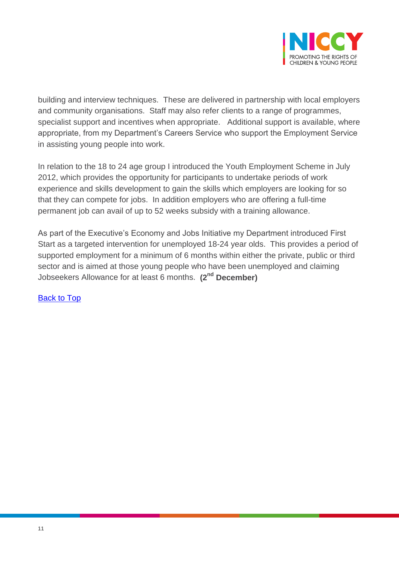

building and interview techniques. These are delivered in partnership with local employers and community organisations. Staff may also refer clients to a range of programmes, specialist support and incentives when appropriate. Additional support is available, where appropriate, from my Department's Careers Service who support the Employment Service in assisting young people into work.

In relation to the 18 to 24 age group I introduced the Youth Employment Scheme in July 2012, which provides the opportunity for participants to undertake periods of work experience and skills development to gain the skills which employers are looking for so that they can compete for jobs. In addition employers who are offering a full-time permanent job can avail of up to 52 weeks subsidy with a training allowance.

As part of the Executive's Economy and Jobs Initiative my Department introduced First Start as a targeted intervention for unemployed 18-24 year olds. This provides a period of supported employment for a minimum of 6 months within either the private, public or third sector and is aimed at those young people who have been unemployed and claiming Jobseekers Allowance for at least 6 months. **(2nd December)**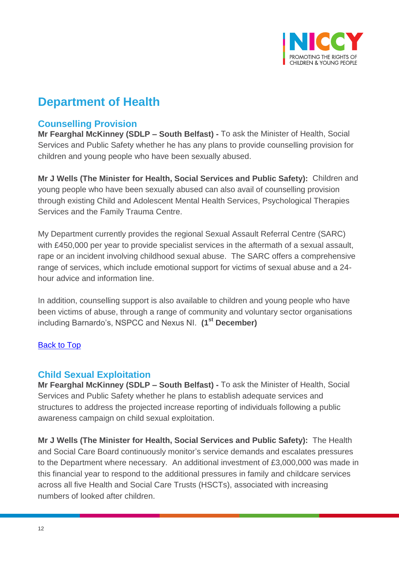

# **Department of Health**

## <span id="page-11-0"></span>**Counselling Provision**

**Mr Fearghal McKinney (SDLP – South Belfast) -** To ask the Minister of Health, Social Services and Public Safety whether he has any plans to provide counselling provision for children and young people who have been sexually abused.

**Mr J Wells (The Minister for Health, Social Services and Public Safety):** Children and young people who have been sexually abused can also avail of counselling provision through existing Child and Adolescent Mental Health Services, Psychological Therapies Services and the Family Trauma Centre.

My Department currently provides the regional Sexual Assault Referral Centre (SARC) with £450,000 per year to provide specialist services in the aftermath of a sexual assault, rape or an incident involving childhood sexual abuse. The SARC offers a comprehensive range of services, which include emotional support for victims of sexual abuse and a 24 hour advice and information line.

In addition, counselling support is also available to children and young people who have been victims of abuse, through a range of community and voluntary sector organisations including Barnardo's, NSPCC and Nexus NI. **(1st December)**

#### [Back to Top](#page-0-0)

#### <span id="page-11-1"></span>**Child Sexual Exploitation**

**Mr Fearghal McKinney (SDLP – South Belfast) -** To ask the Minister of Health, Social Services and Public Safety whether he plans to establish adequate services and structures to address the projected increase reporting of individuals following a public awareness campaign on child sexual exploitation.

**Mr J Wells (The Minister for Health, Social Services and Public Safety):** The Health and Social Care Board continuously monitor's service demands and escalates pressures to the Department where necessary. An additional investment of £3,000,000 was made in this financial year to respond to the additional pressures in family and childcare services across all five Health and Social Care Trusts (HSCTs), associated with increasing numbers of looked after children.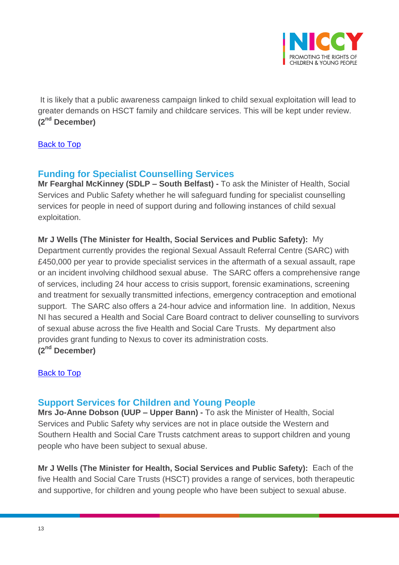

It is likely that a public awareness campaign linked to child sexual exploitation will lead to greater demands on HSCT family and childcare services. This will be kept under review. **(2nd December)**

#### [Back to Top](#page-0-0)

## <span id="page-12-0"></span>**Funding for Specialist Counselling Services**

**Mr Fearghal McKinney (SDLP – South Belfast) -** To ask the Minister of Health, Social Services and Public Safety whether he will safeguard funding for specialist counselling services for people in need of support during and following instances of child sexual exploitation.

#### **Mr J Wells (The Minister for Health, Social Services and Public Safety):** My

Department currently provides the regional Sexual Assault Referral Centre (SARC) with £450,000 per year to provide specialist services in the aftermath of a sexual assault, rape or an incident involving childhood sexual abuse. The SARC offers a comprehensive range of services, including 24 hour access to crisis support, forensic examinations, screening and treatment for sexually transmitted infections, emergency contraception and emotional support. The SARC also offers a 24-hour advice and information line. In addition, Nexus NI has secured a Health and Social Care Board contract to deliver counselling to survivors of sexual abuse across the five Health and Social Care Trusts. My department also provides grant funding to Nexus to cover its administration costs. **(2nd December)**

#### [Back to Top](#page-0-0)

### <span id="page-12-1"></span>**Support Services for Children and Young People**

**Mrs Jo-Anne Dobson (UUP – Upper Bann) -** To ask the Minister of Health, Social Services and Public Safety why services are not in place outside the Western and Southern Health and Social Care Trusts catchment areas to support children and young people who have been subject to sexual abuse.

**Mr J Wells (The Minister for Health, Social Services and Public Safety):** Each of the five Health and Social Care Trusts (HSCT) provides a range of services, both therapeutic and supportive, for children and young people who have been subject to sexual abuse.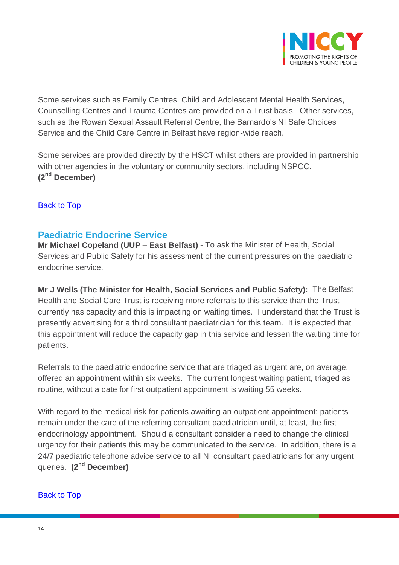

Some services such as Family Centres, Child and Adolescent Mental Health Services, Counselling Centres and Trauma Centres are provided on a Trust basis. Other services, such as the Rowan Sexual Assault Referral Centre, the Barnardo's NI Safe Choices Service and the Child Care Centre in Belfast have region-wide reach.

Some services are provided directly by the HSCT whilst others are provided in partnership with other agencies in the voluntary or community sectors, including NSPCC. **(2nd December)**

#### [Back to Top](#page-0-0)

### <span id="page-13-0"></span>**Paediatric Endocrine Service**

**Mr Michael Copeland (UUP – East Belfast) -** To ask the Minister of Health, Social Services and Public Safety for his assessment of the current pressures on the paediatric endocrine service.

**Mr J Wells (The Minister for Health, Social Services and Public Safety):** The Belfast Health and Social Care Trust is receiving more referrals to this service than the Trust currently has capacity and this is impacting on waiting times. I understand that the Trust is presently advertising for a third consultant paediatrician for this team. It is expected that this appointment will reduce the capacity gap in this service and lessen the waiting time for patients.

Referrals to the paediatric endocrine service that are triaged as urgent are, on average, offered an appointment within six weeks. The current longest waiting patient, triaged as routine, without a date for first outpatient appointment is waiting 55 weeks.

With regard to the medical risk for patients awaiting an outpatient appointment; patients remain under the care of the referring consultant paediatrician until, at least, the first endocrinology appointment. Should a consultant consider a need to change the clinical urgency for their patients this may be communicated to the service. In addition, there is a 24/7 paediatric telephone advice service to all NI consultant paediatricians for any urgent queries. **(2nd December)**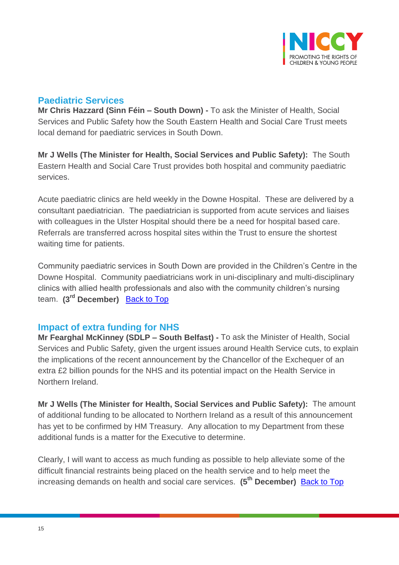

## <span id="page-14-0"></span>**Paediatric Services**

**Mr Chris Hazzard (Sinn Féin – South Down) -** To ask the Minister of Health, Social Services and Public Safety how the South Eastern Health and Social Care Trust meets local demand for paediatric services in South Down.

**Mr J Wells (The Minister for Health, Social Services and Public Safety):** The South Eastern Health and Social Care Trust provides both hospital and community paediatric services.

Acute paediatric clinics are held weekly in the Downe Hospital. These are delivered by a consultant paediatrician. The paediatrician is supported from acute services and liaises with colleagues in the Ulster Hospital should there be a need for hospital based care. Referrals are transferred across hospital sites within the Trust to ensure the shortest waiting time for patients.

Community paediatric services in South Down are provided in the Children's Centre in the Downe Hospital. Community paediatricians work in uni-disciplinary and multi-disciplinary clinics with allied health professionals and also with the community children's nursing team. **(3rd December)** [Back to Top](#page-0-0)

## <span id="page-14-1"></span>**Impact of extra funding for NHS**

**Mr Fearghal McKinney (SDLP – South Belfast) -** To ask the Minister of Health, Social Services and Public Safety, given the urgent issues around Health Service cuts, to explain the implications of the recent announcement by the Chancellor of the Exchequer of an extra £2 billion pounds for the NHS and its potential impact on the Health Service in Northern Ireland.

**Mr J Wells (The Minister for Health, Social Services and Public Safety):** The amount of additional funding to be allocated to Northern Ireland as a result of this announcement has yet to be confirmed by HM Treasury. Any allocation to my Department from these additional funds is a matter for the Executive to determine.

Clearly, I will want to access as much funding as possible to help alleviate some of the difficult financial restraints being placed on the health service and to help meet the increasing demands on health and social care services. **(5th December)** [Back to Top](#page-0-0)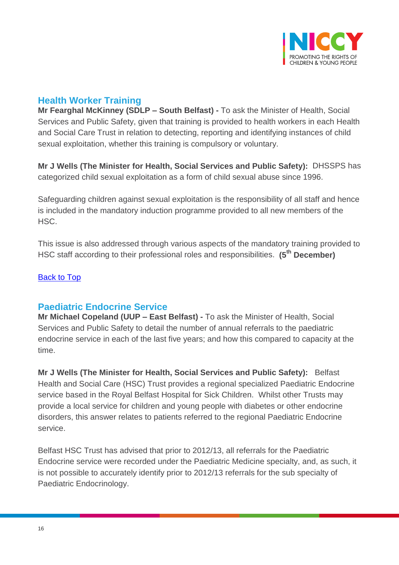

## <span id="page-15-0"></span>**Health Worker Training**

**Mr Fearghal McKinney (SDLP – South Belfast) -** To ask the Minister of Health, Social Services and Public Safety, given that training is provided to health workers in each Health and Social Care Trust in relation to detecting, reporting and identifying instances of child sexual exploitation, whether this training is compulsory or voluntary.

**Mr J Wells (The Minister for Health, Social Services and Public Safety):** DHSSPS has categorized child sexual exploitation as a form of child sexual abuse since 1996.

Safeguarding children against sexual exploitation is the responsibility of all staff and hence is included in the mandatory induction programme provided to all new members of the HSC.

This issue is also addressed through various aspects of the mandatory training provided to HSC staff according to their professional roles and responsibilities. **(5th December)**

#### [Back to Top](#page-0-0)

### <span id="page-15-1"></span>**Paediatric Endocrine Service**

**Mr Michael Copeland (UUP – East Belfast) -** To ask the Minister of Health, Social Services and Public Safety to detail the number of annual referrals to the paediatric endocrine service in each of the last five years; and how this compared to capacity at the time.

**Mr J Wells (The Minister for Health, Social Services and Public Safety):** Belfast Health and Social Care (HSC) Trust provides a regional specialized Paediatric Endocrine service based in the Royal Belfast Hospital for Sick Children. Whilst other Trusts may provide a local service for children and young people with diabetes or other endocrine disorders, this answer relates to patients referred to the regional Paediatric Endocrine service.

Belfast HSC Trust has advised that prior to 2012/13, all referrals for the Paediatric Endocrine service were recorded under the Paediatric Medicine specialty, and, as such, it is not possible to accurately identify prior to 2012/13 referrals for the sub specialty of Paediatric Endocrinology.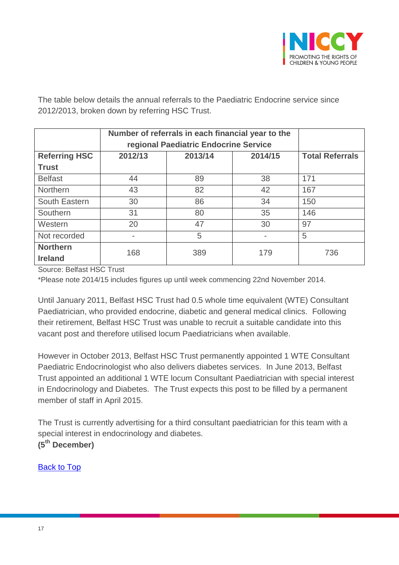

The table below details the annual referrals to the Paediatric Endocrine service since 2012/2013, broken down by referring HSC Trust.

|                                   | Number of referrals in each financial year to the<br>regional Paediatric Endocrine Service |         |         |                        |
|-----------------------------------|--------------------------------------------------------------------------------------------|---------|---------|------------------------|
| <b>Referring HSC</b>              | 2012/13                                                                                    | 2013/14 | 2014/15 | <b>Total Referrals</b> |
| <b>Trust</b>                      |                                                                                            |         |         |                        |
| <b>Belfast</b>                    | 44                                                                                         | 89      | 38      | 171                    |
| <b>Northern</b>                   | 43                                                                                         | 82      | 42      | 167                    |
| South Eastern                     | 30                                                                                         | 86      | 34      | 150                    |
| Southern                          | 31                                                                                         | 80      | 35      | 146                    |
| Western                           | 20                                                                                         | 47      | 30      | 97                     |
| Not recorded                      | -                                                                                          | 5       |         | 5                      |
| <b>Northern</b><br><b>Ireland</b> | 168                                                                                        | 389     | 179     | 736                    |

Source: Belfast HSC Trust

\*Please note 2014/15 includes figures up until week commencing 22nd November 2014.

Until January 2011, Belfast HSC Trust had 0.5 whole time equivalent (WTE) Consultant Paediatrician, who provided endocrine, diabetic and general medical clinics. Following their retirement, Belfast HSC Trust was unable to recruit a suitable candidate into this vacant post and therefore utilised locum Paediatricians when available.

However in October 2013, Belfast HSC Trust permanently appointed 1 WTE Consultant Paediatric Endocrinologist who also delivers diabetes services. In June 2013, Belfast Trust appointed an additional 1 WTE locum Consultant Paediatrician with special interest in Endocrinology and Diabetes. The Trust expects this post to be filled by a permanent member of staff in April 2015.

The Trust is currently advertising for a third consultant paediatrician for this team with a special interest in endocrinology and diabetes. **(5th December)**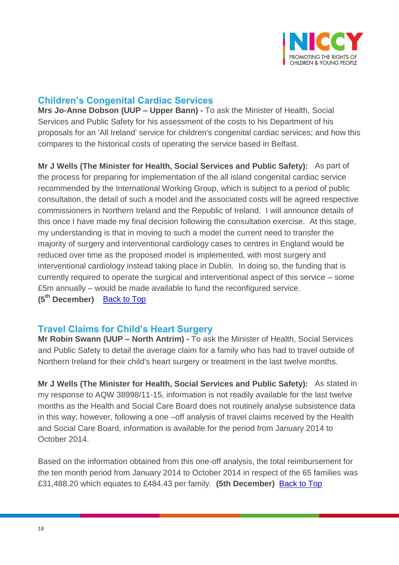

## <span id="page-17-0"></span>**Children's Congenital Cardiac Services**

**Mrs Jo-Anne Dobson (UUP – Upper Bann) -** To ask the Minister of Health, Social Services and Public Safety for his assessment of the costs to his Department of his proposals for an 'All Ireland' service for children's congenital cardiac services; and how this compares to the historical costs of operating the service based in Belfast.

**Mr J Wells (The Minister for Health, Social Services and Public Safety):** As part of the process for preparing for implementation of the all island congenital cardiac service recommended by the International Working Group, which is subject to a period of public consultation, the detail of such a model and the associated costs will be agreed respective commissioners in Northern Ireland and the Republic of Ireland. I will announce details of this once I have made my final decision following the consultation exercise. At this stage, my understanding is that in moving to such a model the current need to transfer the majority of surgery and interventional cardiology cases to centres in England would be reduced over time as the proposed model is implemented, with most surgery and interventional cardiology instead taking place in Dublin. In doing so, the funding that is currently required to operate the surgical and interventional aspect of this service – some £5m annually – would be made available to fund the reconfigured service. **(5th December)** [Back to Top](#page-0-0)

### <span id="page-17-1"></span>**Travel Claims for Child's Heart Surgery**

**Mr Robin Swann (UUP – North Antrim) -** To ask the Minister of Health, Social Services and Public Safety to detail the average claim for a family who has had to travel outside of Northern Ireland for their child's heart surgery or treatment in the last twelve months.

**Mr J Wells (The Minister for Health, Social Services and Public Safety):** As stated in my response to AQW 38998/11-15, information is not readily available for the last twelve months as the Health and Social Care Board does not routinely analyse subsistence data in this way; however, following a one –off analysis of travel claims received by the Health and Social Care Board, information is available for the period from January 2014 to October 2014.

Based on the information obtained from this one-off analysis, the total reimbursement for the ten month period from January 2014 to October 2014 in respect of the 65 families was £31,488.20 which equates to £484.43 per family. **(5th December)** [Back to Top](#page-0-0)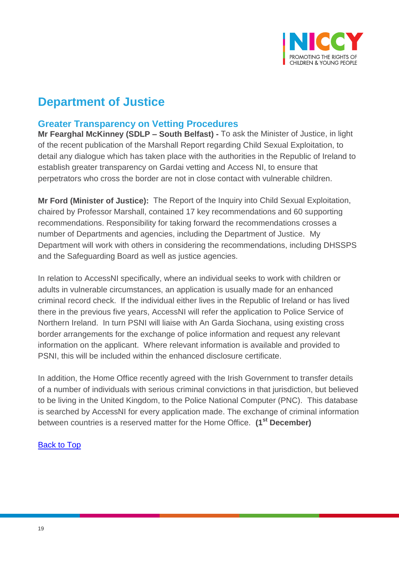

# **Department of Justice**

## <span id="page-18-0"></span>**Greater Transparency on Vetting Procedures**

**Mr Fearghal McKinney (SDLP – South Belfast) -** To ask the Minister of Justice, in light of the recent publication of the Marshall Report regarding Child Sexual Exploitation, to detail any dialogue which has taken place with the authorities in the Republic of Ireland to establish greater transparency on Gardai vetting and Access NI, to ensure that perpetrators who cross the border are not in close contact with vulnerable children.

**Mr Ford (Minister of Justice):** The Report of the Inquiry into Child Sexual Exploitation, chaired by Professor Marshall, contained 17 key recommendations and 60 supporting recommendations. Responsibility for taking forward the recommendations crosses a number of Departments and agencies, including the Department of Justice. My Department will work with others in considering the recommendations, including DHSSPS and the Safeguarding Board as well as justice agencies.

In relation to AccessNI specifically, where an individual seeks to work with children or adults in vulnerable circumstances, an application is usually made for an enhanced criminal record check. If the individual either lives in the Republic of Ireland or has lived there in the previous five years, AccessNI will refer the application to Police Service of Northern Ireland. In turn PSNI will liaise with An Garda Siochana, using existing cross border arrangements for the exchange of police information and request any relevant information on the applicant. Where relevant information is available and provided to PSNI, this will be included within the enhanced disclosure certificate.

In addition, the Home Office recently agreed with the Irish Government to transfer details of a number of individuals with serious criminal convictions in that jurisdiction, but believed to be living in the United Kingdom, to the Police National Computer (PNC). This database is searched by AccessNI for every application made. The exchange of criminal information between countries is a reserved matter for the Home Office. **(1st December)**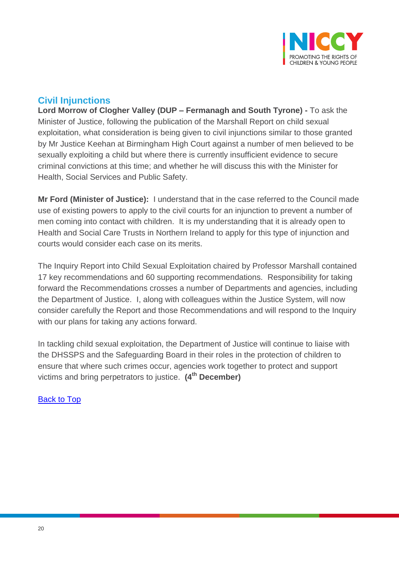

## <span id="page-19-0"></span>**Civil Injunctions**

**Lord Morrow of Clogher Valley (DUP – Fermanagh and South Tyrone) -** To ask the Minister of Justice, following the publication of the Marshall Report on child sexual exploitation, what consideration is being given to civil injunctions similar to those granted by Mr Justice Keehan at Birmingham High Court against a number of men believed to be sexually exploiting a child but where there is currently insufficient evidence to secure criminal convictions at this time; and whether he will discuss this with the Minister for Health, Social Services and Public Safety.

**Mr Ford (Minister of Justice):** I understand that in the case referred to the Council made use of existing powers to apply to the civil courts for an injunction to prevent a number of men coming into contact with children. It is my understanding that it is already open to Health and Social Care Trusts in Northern Ireland to apply for this type of injunction and courts would consider each case on its merits.

The Inquiry Report into Child Sexual Exploitation chaired by Professor Marshall contained 17 key recommendations and 60 supporting recommendations. Responsibility for taking forward the Recommendations crosses a number of Departments and agencies, including the Department of Justice. I, along with colleagues within the Justice System, will now consider carefully the Report and those Recommendations and will respond to the Inquiry with our plans for taking any actions forward.

In tackling child sexual exploitation, the Department of Justice will continue to liaise with the DHSSPS and the Safeguarding Board in their roles in the protection of children to ensure that where such crimes occur, agencies work together to protect and support victims and bring perpetrators to justice. **(4th December)**